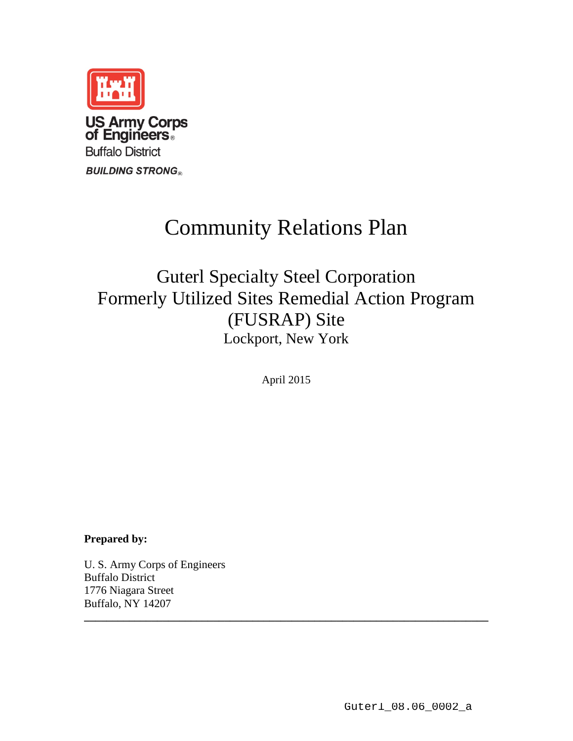

# Community Relations Plan

Guterl Specialty Steel Corporation Formerly Utilized Sites Remedial Action Program (FUSRAP) Site Lockport, New York

April 2015

**\_\_\_\_\_\_\_\_\_\_\_\_\_\_\_\_\_\_\_\_\_\_\_\_\_\_\_\_\_\_\_\_\_\_\_\_\_\_\_\_\_\_\_\_\_\_\_\_\_\_\_\_\_\_\_\_\_\_\_\_\_\_\_\_\_\_\_\_\_\_\_\_**

**Prepared by:**

U. S. Army Corps of Engineers Buffalo District 1776 Niagara Street Buffalo, NY 14207

Guterl\_08.06\_0002\_a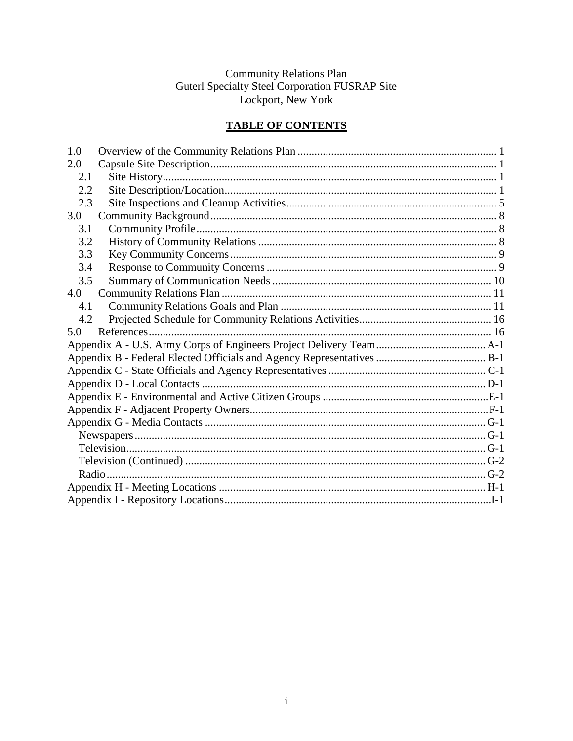# Community Relations Plan<br>Guterl Specialty Steel Corporation FUSRAP Site<br>Lockport, New York

### **TABLE OF CONTENTS**

| 1.0 |  |  |  |
|-----|--|--|--|
| 2.0 |  |  |  |
| 2.1 |  |  |  |
| 2.2 |  |  |  |
| 2.3 |  |  |  |
| 3.0 |  |  |  |
| 3.1 |  |  |  |
| 3.2 |  |  |  |
| 3.3 |  |  |  |
| 3.4 |  |  |  |
| 3.5 |  |  |  |
| 4.0 |  |  |  |
| 4.1 |  |  |  |
| 4.2 |  |  |  |
| 5.0 |  |  |  |
|     |  |  |  |
|     |  |  |  |
|     |  |  |  |
|     |  |  |  |
|     |  |  |  |
|     |  |  |  |
|     |  |  |  |
|     |  |  |  |
|     |  |  |  |
|     |  |  |  |
|     |  |  |  |
|     |  |  |  |
|     |  |  |  |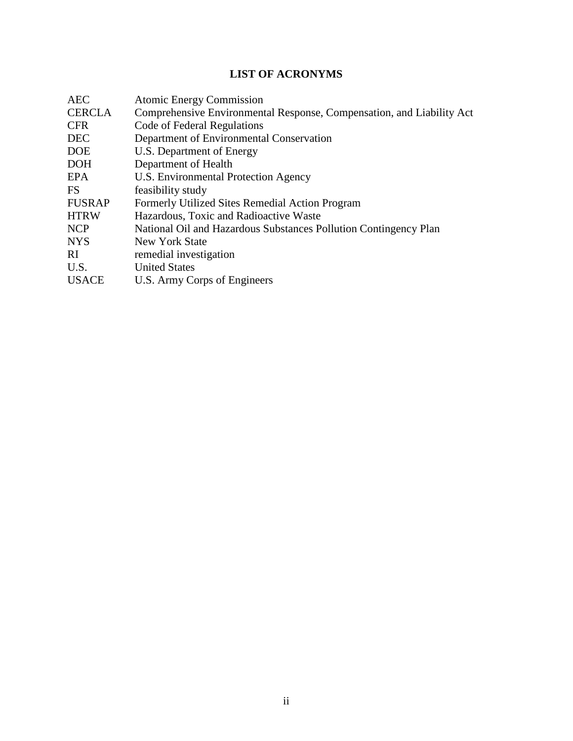### **LIST OF ACRONYMS**

| <b>AEC</b>    | <b>Atomic Energy Commission</b>                                       |
|---------------|-----------------------------------------------------------------------|
| <b>CERCLA</b> | Comprehensive Environmental Response, Compensation, and Liability Act |
| <b>CFR</b>    | Code of Federal Regulations                                           |
| <b>DEC</b>    | Department of Environmental Conservation                              |
| <b>DOE</b>    | U.S. Department of Energy                                             |
| <b>DOH</b>    | Department of Health                                                  |
| EPA           | <b>U.S. Environmental Protection Agency</b>                           |
| <b>FS</b>     | feasibility study                                                     |
| <b>FUSRAP</b> | Formerly Utilized Sites Remedial Action Program                       |
| <b>HTRW</b>   | Hazardous, Toxic and Radioactive Waste                                |
| <b>NCP</b>    | National Oil and Hazardous Substances Pollution Contingency Plan      |
| <b>NYS</b>    | New York State                                                        |
| <sup>RI</sup> | remedial investigation                                                |
| U.S.          | <b>United States</b>                                                  |
| <b>USACE</b>  | U.S. Army Corps of Engineers                                          |
|               |                                                                       |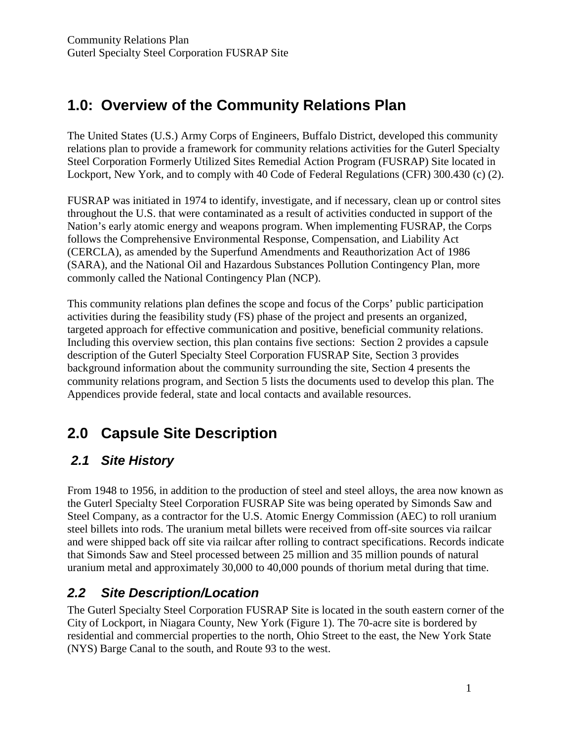# **1.0: Overview of the Community Relations Plan**

The United States (U.S.) Army Corps of Engineers, Buffalo District, developed this community relations plan to provide a framework for community relations activities for the Guterl Specialty Steel Corporation Formerly Utilized Sites Remedial Action Program (FUSRAP) Site located in Lockport, New York, and to comply with 40 Code of Federal Regulations (CFR) 300.430 (c) (2).

FUSRAP was initiated in 1974 to identify, investigate, and if necessary, clean up or control sites throughout the U.S. that were contaminated as a result of activities conducted in support of the Nation's early atomic energy and weapons program. When implementing FUSRAP, the Corps follows the Comprehensive Environmental Response, Compensation, and Liability Act (CERCLA), as amended by the Superfund Amendments and Reauthorization Act of 1986 (SARA), and the National Oil and Hazardous Substances Pollution Contingency Plan, more commonly called the National Contingency Plan (NCP).

This community relations plan defines the scope and focus of the Corps' public participation activities during the feasibility study (FS) phase of the project and presents an organized, targeted approach for effective communication and positive, beneficial community relations. Including this overview section, this plan contains five sections: Section 2 provides a capsule description of the Guterl Specialty Steel Corporation FUSRAP Site, Section 3 provides background information about the community surrounding the site, Section 4 presents the community relations program, and Section 5 lists the documents used to develop this plan. The Appendices provide federal, state and local contacts and available resources.

# **2.0 Capsule Site Description**

## *2.1 Site History*

From 1948 to 1956, in addition to the production of steel and steel alloys, the area now known as the Guterl Specialty Steel Corporation FUSRAP Site was being operated by Simonds Saw and Steel Company, as a contractor for the U.S. Atomic Energy Commission (AEC) to roll uranium steel billets into rods. The uranium metal billets were received from off-site sources via railcar and were shipped back off site via railcar after rolling to contract specifications. Records indicate that Simonds Saw and Steel processed between 25 million and 35 million pounds of natural uranium metal and approximately 30,000 to 40,000 pounds of thorium metal during that time.

### *2.2 Site Description/Location*

The Guterl Specialty Steel Corporation FUSRAP Site is located in the south eastern corner of the City of Lockport, in Niagara County, New York (Figure 1). The 70-acre site is bordered by residential and commercial properties to the north, Ohio Street to the east, the New York State (NYS) Barge Canal to the south, and Route 93 to the west.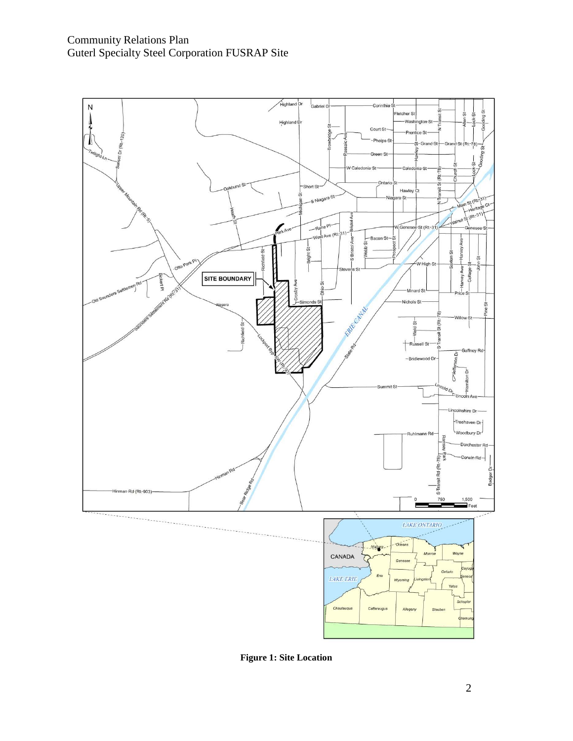

**Figure 1: Site Location**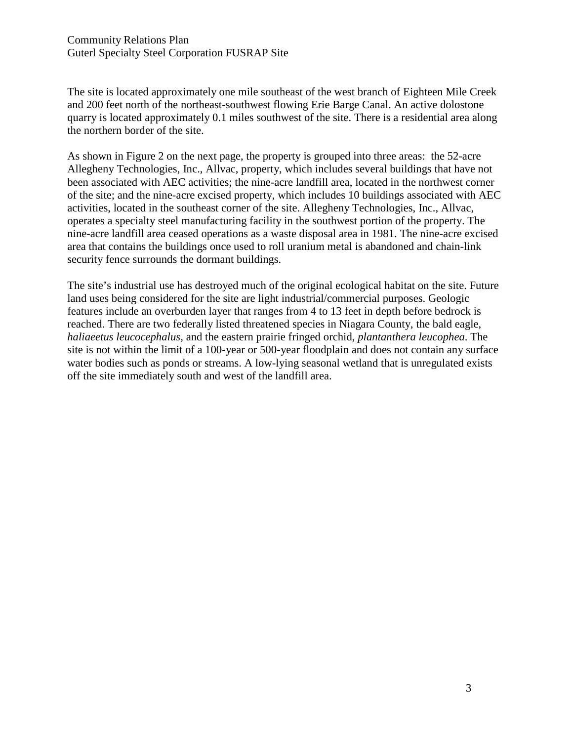The site is located approximately one mile southeast of the west branch of Eighteen Mile Creek and 200 feet north of the northeast-southwest flowing Erie Barge Canal. An active dolostone quarry is located approximately 0.1 miles southwest of the site. There is a residential area along the northern border of the site.

As shown in Figure 2 on the next page, the property is grouped into three areas: the 52-acre Allegheny Technologies, Inc., Allvac, property, which includes several buildings that have not been associated with AEC activities; the nine-acre landfill area, located in the northwest corner of the site; and the nine-acre excised property, which includes 10 buildings associated with AEC activities, located in the southeast corner of the site. Allegheny Technologies, Inc., Allvac, operates a specialty steel manufacturing facility in the southwest portion of the property. The nine-acre landfill area ceased operations as a waste disposal area in 1981. The nine-acre excised area that contains the buildings once used to roll uranium metal is abandoned and chain-link security fence surrounds the dormant buildings.

The site's industrial use has destroyed much of the original ecological habitat on the site. Future land uses being considered for the site are light industrial/commercial purposes. Geologic features include an overburden layer that ranges from 4 to 13 feet in depth before bedrock is reached. There are two federally listed threatened species in Niagara County, the bald eagle, *haliaeetus leucocephalus*, and the eastern prairie fringed orchid, *plantanthera leucophea*. The site is not within the limit of a 100-year or 500-year floodplain and does not contain any surface water bodies such as ponds or streams. A low-lying seasonal wetland that is unregulated exists off the site immediately south and west of the landfill area.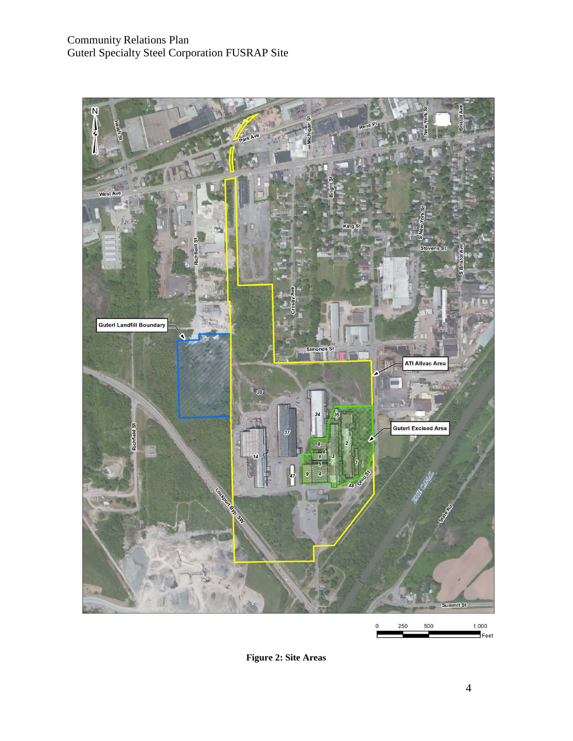

**Figure 2: Site Areas**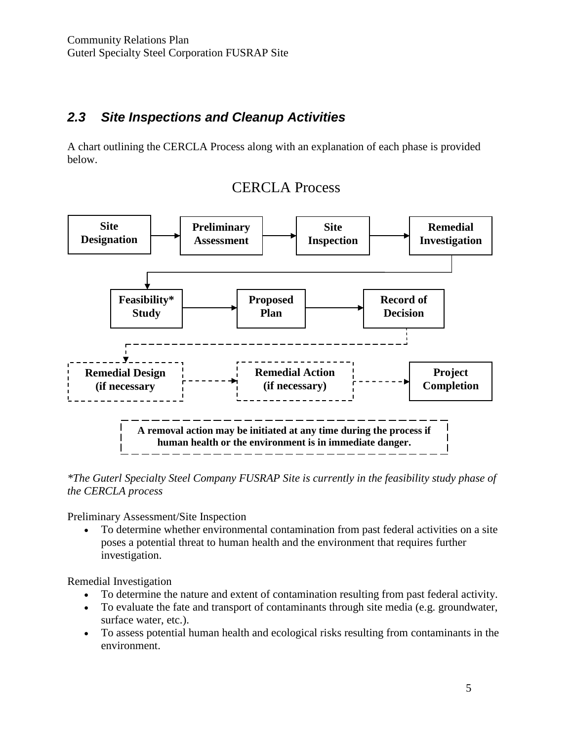### *2.3 Site Inspections and Cleanup Activities*

A chart outlining the CERCLA Process along with an explanation of each phase is provided below.



## CERCLA Process

*\*The Guterl Specialty Steel Company FUSRAP Site is currently in the feasibility study phase of the CERCLA process*

Preliminary Assessment/Site Inspection

• To determine whether environmental contamination from past federal activities on a site poses a potential threat to human health and the environment that requires further investigation.

Remedial Investigation

- To determine the nature and extent of contamination resulting from past federal activity.
- To evaluate the fate and transport of contaminants through site media (e.g. groundwater, surface water, etc.).
- To assess potential human health and ecological risks resulting from contaminants in the environment.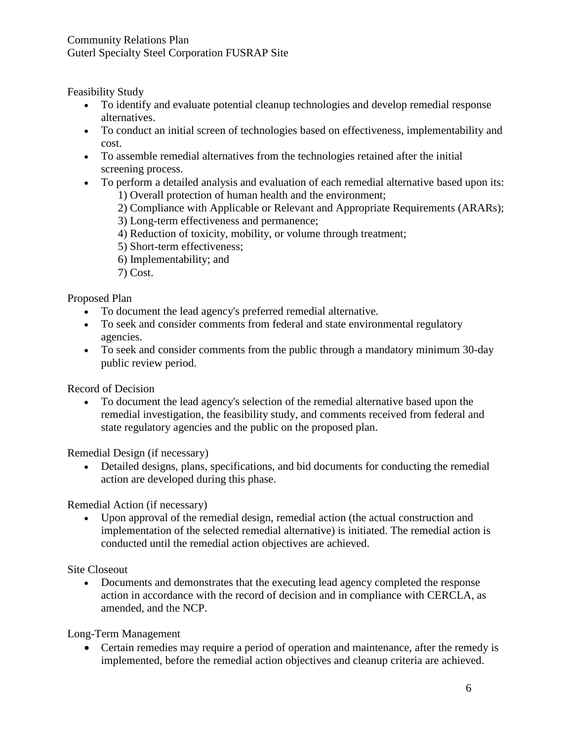#### Community Relations Plan Guterl Specialty Steel Corporation FUSRAP Site

Feasibility Study

- To identify and evaluate potential cleanup technologies and develop remedial response alternatives.
- To conduct an initial screen of technologies based on effectiveness, implementability and cost.
- To assemble remedial alternatives from the technologies retained after the initial screening process.
- To perform a detailed analysis and evaluation of each remedial alternative based upon its: 1) Overall protection of human health and the environment;
	- 2) Compliance with Applicable or Relevant and Appropriate Requirements (ARARs);
	- 3) Long-term effectiveness and permanence;
	- 4) Reduction of toxicity, mobility, or volume through treatment;
	- 5) Short-term effectiveness;
	- 6) Implementability; and
	- 7) Cost.

Proposed Plan

- To document the lead agency's preferred remedial alternative.
- To seek and consider comments from federal and state environmental regulatory agencies.
- To seek and consider comments from the public through a mandatory minimum 30-day public review period.

Record of Decision

• To document the lead agency's selection of the remedial alternative based upon the remedial investigation, the feasibility study, and comments received from federal and state regulatory agencies and the public on the proposed plan.

Remedial Design (if necessary)

• Detailed designs, plans, specifications, and bid documents for conducting the remedial action are developed during this phase.

Remedial Action (if necessary)

• Upon approval of the remedial design, remedial action (the actual construction and implementation of the selected remedial alternative) is initiated. The remedial action is conducted until the remedial action objectives are achieved.

Site Closeout

• Documents and demonstrates that the executing lead agency completed the response action in accordance with the record of decision and in compliance with CERCLA, as amended, and the NCP.

Long-Term Management

• Certain remedies may require a period of operation and maintenance, after the remedy is implemented, before the remedial action objectives and cleanup criteria are achieved.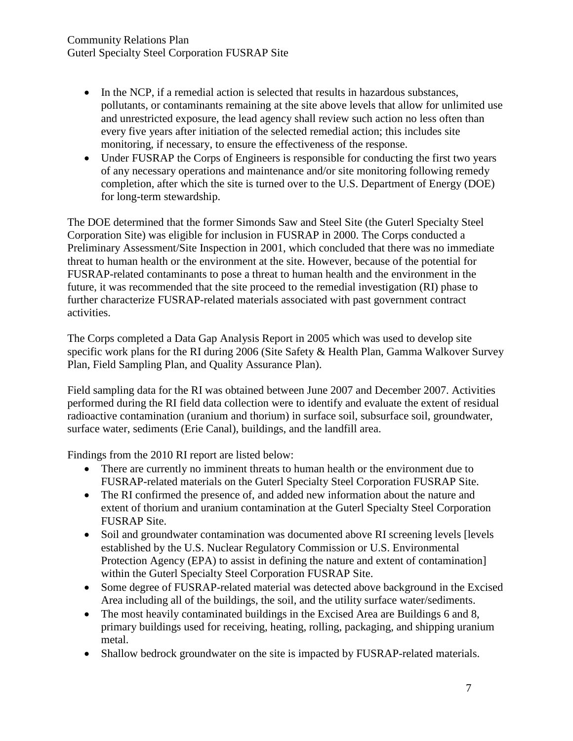- In the NCP, if a remedial action is selected that results in hazardous substances, pollutants, or contaminants remaining at the site above levels that allow for unlimited use and unrestricted exposure, the lead agency shall review such action no less often than every five years after initiation of the selected remedial action; this includes site monitoring, if necessary, to ensure the effectiveness of the response.
- Under FUSRAP the Corps of Engineers is responsible for conducting the first two years of any necessary operations and maintenance and/or site monitoring following remedy completion, after which the site is turned over to the U.S. Department of Energy (DOE) for long-term stewardship.

The DOE determined that the former Simonds Saw and Steel Site (the Guterl Specialty Steel Corporation Site) was eligible for inclusion in FUSRAP in 2000. The Corps conducted a Preliminary Assessment/Site Inspection in 2001, which concluded that there was no immediate threat to human health or the environment at the site. However, because of the potential for FUSRAP-related contaminants to pose a threat to human health and the environment in the future, it was recommended that the site proceed to the remedial investigation (RI) phase to further characterize FUSRAP-related materials associated with past government contract activities.

The Corps completed a Data Gap Analysis Report in 2005 which was used to develop site specific work plans for the RI during 2006 (Site Safety & Health Plan, Gamma Walkover Survey Plan, Field Sampling Plan, and Quality Assurance Plan).

Field sampling data for the RI was obtained between June 2007 and December 2007. Activities performed during the RI field data collection were to identify and evaluate the extent of residual radioactive contamination (uranium and thorium) in surface soil, subsurface soil, groundwater, surface water, sediments (Erie Canal), buildings, and the landfill area.

Findings from the 2010 RI report are listed below:

- There are currently no imminent threats to human health or the environment due to FUSRAP-related materials on the Guterl Specialty Steel Corporation FUSRAP Site.
- The RI confirmed the presence of, and added new information about the nature and extent of thorium and uranium contamination at the Guterl Specialty Steel Corporation FUSRAP Site.
- Soil and groundwater contamination was documented above RI screening levels [levels established by the U.S. Nuclear Regulatory Commission or U.S. Environmental Protection Agency (EPA) to assist in defining the nature and extent of contamination] within the Guterl Specialty Steel Corporation FUSRAP Site.
- Some degree of FUSRAP-related material was detected above background in the Excised Area including all of the buildings, the soil, and the utility surface water/sediments.
- The most heavily contaminated buildings in the Excised Area are Buildings 6 and 8, primary buildings used for receiving, heating, rolling, packaging, and shipping uranium metal.
- Shallow bedrock groundwater on the site is impacted by FUSRAP-related materials.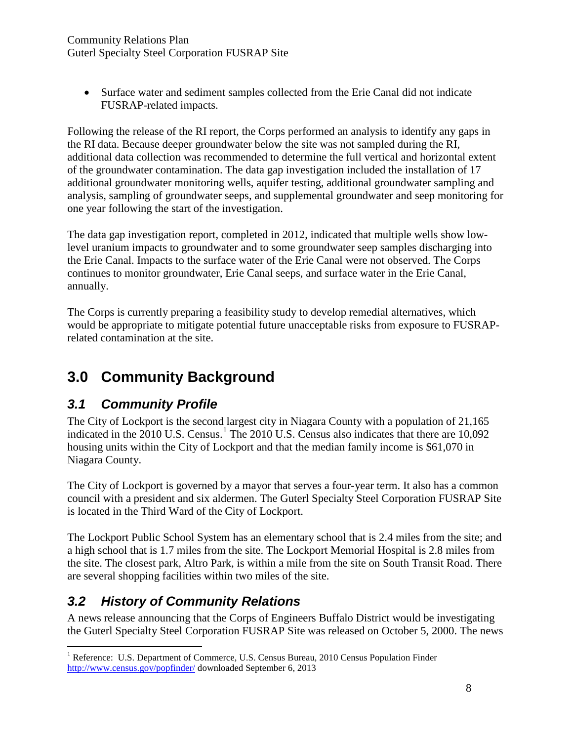• Surface water and sediment samples collected from the Erie Canal did not indicate FUSRAP-related impacts.

Following the release of the RI report, the Corps performed an analysis to identify any gaps in the RI data. Because deeper groundwater below the site was not sampled during the RI, additional data collection was recommended to determine the full vertical and horizontal extent of the groundwater contamination. The data gap investigation included the installation of 17 additional groundwater monitoring wells, aquifer testing, additional groundwater sampling and analysis, sampling of groundwater seeps, and supplemental groundwater and seep monitoring for one year following the start of the investigation.

The data gap investigation report, completed in 2012, indicated that multiple wells show lowlevel uranium impacts to groundwater and to some groundwater seep samples discharging into the Erie Canal. Impacts to the surface water of the Erie Canal were not observed. The Corps continues to monitor groundwater, Erie Canal seeps, and surface water in the Erie Canal, annually.

The Corps is currently preparing a feasibility study to develop remedial alternatives, which would be appropriate to mitigate potential future unacceptable risks from exposure to FUSRAPrelated contamination at the site.

# **3.0 Community Background**

## *3.1 Community Profile*

The City of Lockport is the second largest city in Niagara County with a population of 21,165 indicated in the 20[1](#page-10-0)0 U.S. Census.<sup>1</sup> The 2010 U.S. Census also indicates that there are 10,092 housing units within the City of Lockport and that the median family income is \$61,070 in Niagara County.

The City of Lockport is governed by a mayor that serves a four-year term. It also has a common council with a president and six aldermen. The Guterl Specialty Steel Corporation FUSRAP Site is located in the Third Ward of the City of Lockport.

The Lockport Public School System has an elementary school that is 2.4 miles from the site; and a high school that is 1.7 miles from the site. The Lockport Memorial Hospital is 2.8 miles from the site. The closest park, Altro Park, is within a mile from the site on South Transit Road. There are several shopping facilities within two miles of the site.

## *3.2 History of Community Relations*

A news release announcing that the Corps of Engineers Buffalo District would be investigating the Guterl Specialty Steel Corporation FUSRAP Site was released on October 5, 2000. The news

<span id="page-10-0"></span><sup>&</sup>lt;sup>1</sup> Reference: U.S. Department of Commerce, U.S. Census Bureau, 2010 Census Population Finder <http://www.census.gov/popfinder/> downloaded September 6, 2013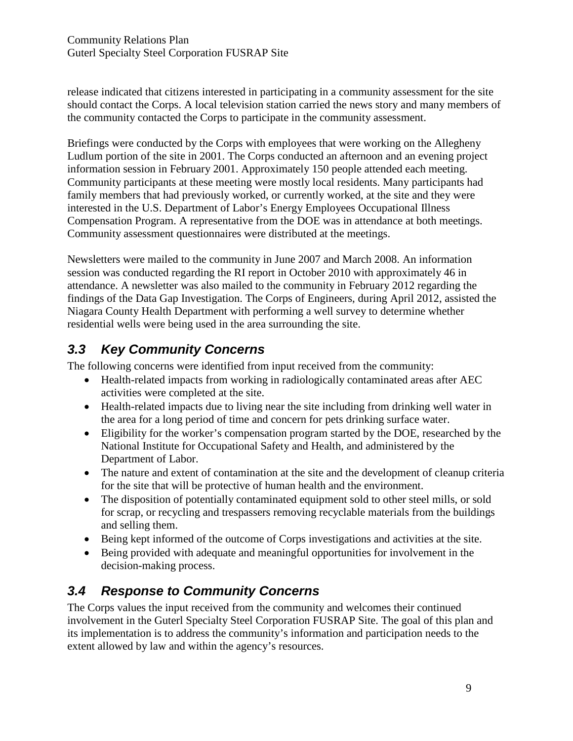release indicated that citizens interested in participating in a community assessment for the site should contact the Corps. A local television station carried the news story and many members of the community contacted the Corps to participate in the community assessment.

Briefings were conducted by the Corps with employees that were working on the Allegheny Ludlum portion of the site in 2001. The Corps conducted an afternoon and an evening project information session in February 2001. Approximately 150 people attended each meeting. Community participants at these meeting were mostly local residents. Many participants had family members that had previously worked, or currently worked, at the site and they were interested in the U.S. Department of Labor's Energy Employees Occupational Illness Compensation Program. A representative from the DOE was in attendance at both meetings. Community assessment questionnaires were distributed at the meetings.

Newsletters were mailed to the community in June 2007 and March 2008. An information session was conducted regarding the RI report in October 2010 with approximately 46 in attendance. A newsletter was also mailed to the community in February 2012 regarding the findings of the Data Gap Investigation. The Corps of Engineers, during April 2012, assisted the Niagara County Health Department with performing a well survey to determine whether residential wells were being used in the area surrounding the site.

# *3.3 Key Community Concerns*

The following concerns were identified from input received from the community:

- Health-related impacts from working in radiologically contaminated areas after AEC activities were completed at the site.
- Health-related impacts due to living near the site including from drinking well water in the area for a long period of time and concern for pets drinking surface water.
- Eligibility for the worker's compensation program started by the DOE, researched by the National Institute for Occupational Safety and Health, and administered by the Department of Labor.
- The nature and extent of contamination at the site and the development of cleanup criteria for the site that will be protective of human health and the environment.
- The disposition of potentially contaminated equipment sold to other steel mills, or sold for scrap, or recycling and trespassers removing recyclable materials from the buildings and selling them.
- Being kept informed of the outcome of Corps investigations and activities at the site.
- Being provided with adequate and meaningful opportunities for involvement in the decision-making process.

# *3.4 Response to Community Concerns*

The Corps values the input received from the community and welcomes their continued involvement in the Guterl Specialty Steel Corporation FUSRAP Site. The goal of this plan and its implementation is to address the community's information and participation needs to the extent allowed by law and within the agency's resources.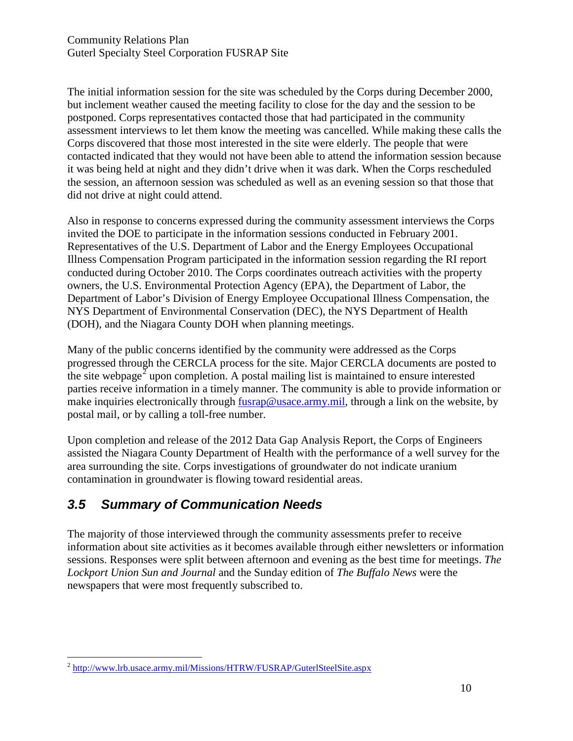The initial information session for the site was scheduled by the Corps during December 2000, but inclement weather caused the meeting facility to close for the day and the session to be postponed. Corps representatives contacted those that had participated in the community assessment interviews to let them know the meeting was cancelled. While making these calls the Corps discovered that those most interested in the site were elderly. The people that were contacted indicated that they would not have been able to attend the information session because it was being held at night and they didn't drive when it was dark. When the Corps rescheduled the session, an afternoon session was scheduled as well as an evening session so that those that did not drive at night could attend.

Also in response to concerns expressed during the community assessment interviews the Corps invited the DOE to participate in the information sessions conducted in February 2001. Representatives of the U.S. Department of Labor and the Energy Employees Occupational Illness Compensation Program participated in the information session regarding the RI report conducted during October 2010. The Corps coordinates outreach activities with the property owners, the U.S. Environmental Protection Agency (EPA), the Department of Labor, the Department of Labor's Division of Energy Employee Occupational Illness Compensation, the NYS Department of Environmental Conservation (DEC), the NYS Department of Health (DOH), and the Niagara County DOH when planning meetings.

Many of the public concerns identified by the community were addressed as the Corps progressed through the CERCLA process for the site. Major CERCLA documents are posted to the site webpage<sup>[2](#page-12-0)</sup> upon completion. A postal mailing list is maintained to ensure interested parties receive information in a timely manner. The community is able to provide information or make inquiries electronically through [fusrap@usace.army.mil,](mailto:fusrap@usace.army.mil) through a link on the website, by postal mail, or by calling a toll-free number.

Upon completion and release of the 2012 Data Gap Analysis Report, the Corps of Engineers assisted the Niagara County Department of Health with the performance of a well survey for the area surrounding the site. Corps investigations of groundwater do not indicate uranium contamination in groundwater is flowing toward residential areas.

## *3.5 Summary of Communication Needs*

The majority of those interviewed through the community assessments prefer to receive information about site activities as it becomes available through either newsletters or information sessions. Responses were split between afternoon and evening as the best time for meetings. *The Lockport Union Sun and Journal* and the Sunday edition of *The Buffalo News* were the newspapers that were most frequently subscribed to.

<span id="page-12-0"></span> <sup>2</sup> <http://www.lrb.usace.army.mil/Missions/HTRW/FUSRAP/GuterlSteelSite.aspx>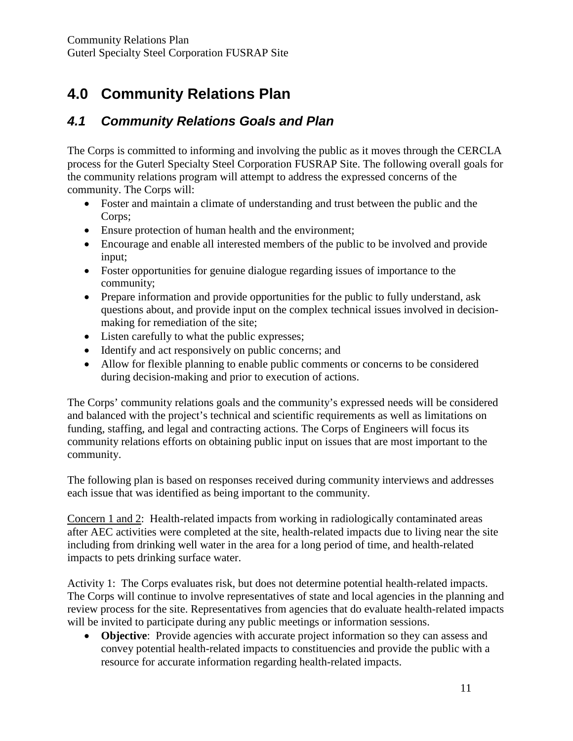# **4.0 Community Relations Plan**

### *4.1 Community Relations Goals and Plan*

The Corps is committed to informing and involving the public as it moves through the CERCLA process for the Guterl Specialty Steel Corporation FUSRAP Site. The following overall goals for the community relations program will attempt to address the expressed concerns of the community. The Corps will:

- Foster and maintain a climate of understanding and trust between the public and the Corps;
- Ensure protection of human health and the environment;
- Encourage and enable all interested members of the public to be involved and provide input;
- Foster opportunities for genuine dialogue regarding issues of importance to the community;
- Prepare information and provide opportunities for the public to fully understand, ask questions about, and provide input on the complex technical issues involved in decisionmaking for remediation of the site;
- Listen carefully to what the public expresses;
- Identify and act responsively on public concerns; and
- Allow for flexible planning to enable public comments or concerns to be considered during decision-making and prior to execution of actions.

The Corps' community relations goals and the community's expressed needs will be considered and balanced with the project's technical and scientific requirements as well as limitations on funding, staffing, and legal and contracting actions. The Corps of Engineers will focus its community relations efforts on obtaining public input on issues that are most important to the community.

The following plan is based on responses received during community interviews and addresses each issue that was identified as being important to the community.

Concern 1 and 2: Health-related impacts from working in radiologically contaminated areas after AEC activities were completed at the site, health-related impacts due to living near the site including from drinking well water in the area for a long period of time, and health-related impacts to pets drinking surface water.

Activity 1: The Corps evaluates risk, but does not determine potential health-related impacts. The Corps will continue to involve representatives of state and local agencies in the planning and review process for the site. Representatives from agencies that do evaluate health-related impacts will be invited to participate during any public meetings or information sessions.

• **Objective**: Provide agencies with accurate project information so they can assess and convey potential health-related impacts to constituencies and provide the public with a resource for accurate information regarding health-related impacts.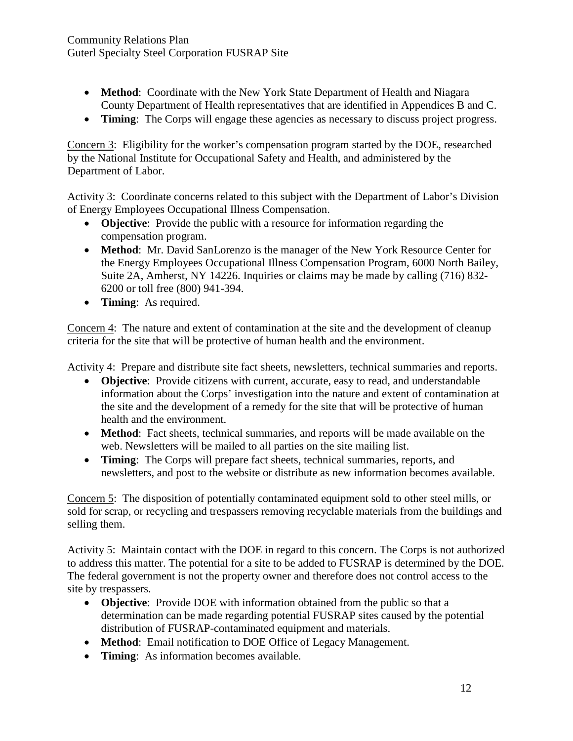- **Method**: Coordinate with the New York State Department of Health and Niagara County Department of Health representatives that are identified in Appendices B and C.
- **Timing**: The Corps will engage these agencies as necessary to discuss project progress.

Concern 3: Eligibility for the worker's compensation program started by the DOE, researched by the National Institute for Occupational Safety and Health, and administered by the Department of Labor.

Activity 3: Coordinate concerns related to this subject with the Department of Labor's Division of Energy Employees Occupational Illness Compensation.

- **Objective**: Provide the public with a resource for information regarding the compensation program.
- **Method**: Mr. David SanLorenzo is the manager of the New York Resource Center for the Energy Employees Occupational Illness Compensation Program, 6000 North Bailey, Suite 2A, Amherst, NY 14226. Inquiries or claims may be made by calling (716) 832- 6200 or toll free (800) 941-394.
- **Timing**: As required.

Concern 4: The nature and extent of contamination at the site and the development of cleanup criteria for the site that will be protective of human health and the environment.

Activity 4: Prepare and distribute site fact sheets, newsletters, technical summaries and reports.

- **Objective**: Provide citizens with current, accurate, easy to read, and understandable information about the Corps' investigation into the nature and extent of contamination at the site and the development of a remedy for the site that will be protective of human health and the environment.
- **Method**: Fact sheets, technical summaries, and reports will be made available on the web. Newsletters will be mailed to all parties on the site mailing list.
- **Timing**: The Corps will prepare fact sheets, technical summaries, reports, and newsletters, and post to the website or distribute as new information becomes available.

Concern 5: The disposition of potentially contaminated equipment sold to other steel mills, or sold for scrap, or recycling and trespassers removing recyclable materials from the buildings and selling them.

Activity 5: Maintain contact with the DOE in regard to this concern. The Corps is not authorized to address this matter. The potential for a site to be added to FUSRAP is determined by the DOE. The federal government is not the property owner and therefore does not control access to the site by trespassers.

- **Objective**: Provide DOE with information obtained from the public so that a determination can be made regarding potential FUSRAP sites caused by the potential distribution of FUSRAP-contaminated equipment and materials.
- **Method**: Email notification to DOE Office of Legacy Management.
- **Timing**: As information becomes available.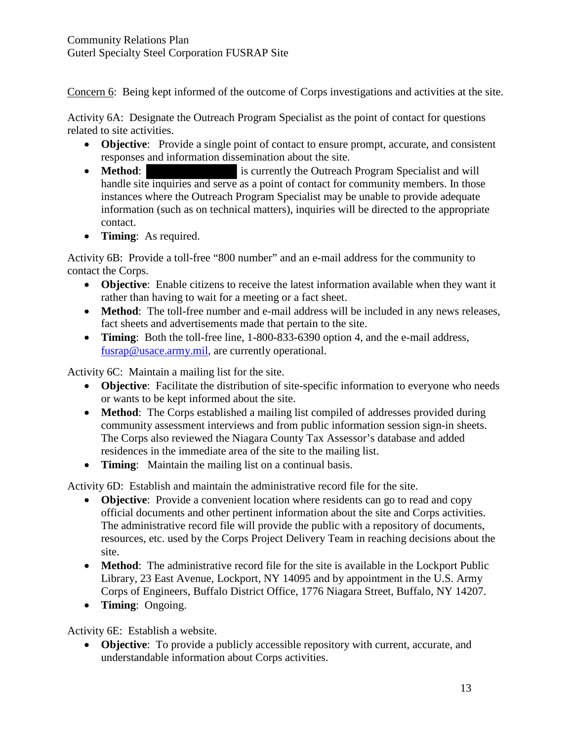Concern 6: Being kept informed of the outcome of Corps investigations and activities at the site.

Activity 6A: Designate the Outreach Program Specialist as the point of contact for questions related to site activities.

- **Objective**: Provide a single point of contact to ensure prompt, accurate, and consistent responses and information dissemination about the site.
- **Method:** is currently the Outreach Program Specialist and will handle site inquiries and serve as a point of contact for community members. In those instances where the Outreach Program Specialist may be unable to provide adequate information (such as on technical matters), inquiries will be directed to the appropriate contact.
- **Timing**: As required.

Activity 6B: Provide a toll-free "800 number" and an e-mail address for the community to contact the Corps.

- **Objective**: Enable citizens to receive the latest information available when they want it rather than having to wait for a meeting or a fact sheet.
- **Method**: The toll-free number and e-mail address will be included in any news releases, fact sheets and advertisements made that pertain to the site.
- **Timing**: Both the toll-free line, 1-800-833-6390 option 4, and the e-mail address, [fusrap@usace.army.mil,](mailto:fusrap@usace.army.mil) are currently operational.

Activity 6C: Maintain a mailing list for the site.

- **Objective**: Facilitate the distribution of site-specific information to everyone who needs or wants to be kept informed about the site.
- **Method**: The Corps established a mailing list compiled of addresses provided during community assessment interviews and from public information session sign-in sheets. The Corps also reviewed the Niagara County Tax Assessor's database and added residences in the immediate area of the site to the mailing list.
- **Timing**: Maintain the mailing list on a continual basis.

Activity 6D: Establish and maintain the administrative record file for the site.

- **Objective**: Provide a convenient location where residents can go to read and copy official documents and other pertinent information about the site and Corps activities. The administrative record file will provide the public with a repository of documents, resources, etc. used by the Corps Project Delivery Team in reaching decisions about the site.
- **Method**: The administrative record file for the site is available in the Lockport Public Library, 23 East Avenue, Lockport, NY 14095 and by appointment in the U.S. Army Corps of Engineers, Buffalo District Office, 1776 Niagara Street, Buffalo, NY 14207.
- **Timing**: Ongoing.

Activity 6E: Establish a website.

• **Objective**: To provide a publicly accessible repository with current, accurate, and understandable information about Corps activities.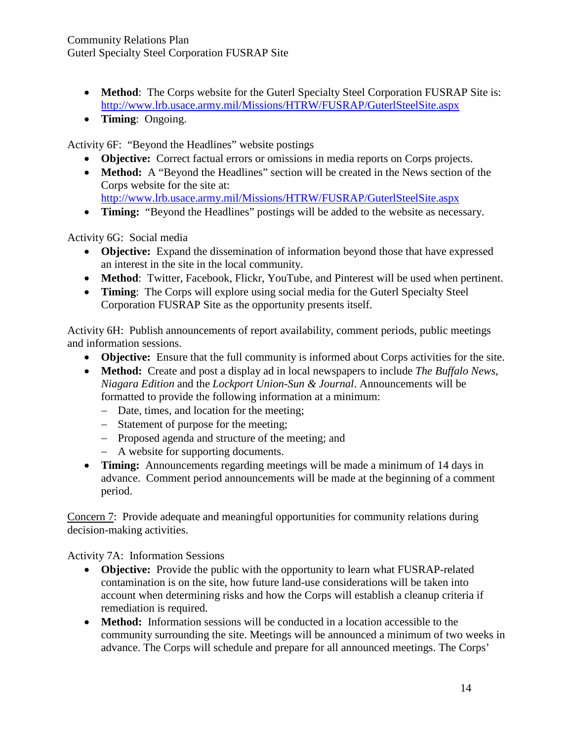- **Method**: The Corps website for the Guterl Specialty Steel Corporation FUSRAP Site is: <http://www.lrb.usace.army.mil/Missions/HTRW/FUSRAP/GuterlSteelSite.aspx>
- **Timing**: Ongoing.

Activity 6F: "Beyond the Headlines" website postings

- **Objective:** Correct factual errors or omissions in media reports on Corps projects.
- **Method:** A "Beyond the Headlines" section will be created in the News section of the Corps website for the site at: <http://www.lrb.usace.army.mil/Missions/HTRW/FUSRAP/GuterlSteelSite.aspx>
- **Timing:** "Beyond the Headlines" postings will be added to the website as necessary.

Activity 6G: Social media

- **Objective:** Expand the dissemination of information beyond those that have expressed an interest in the site in the local community.
- **Method**: Twitter, Facebook, Flickr, YouTube, and Pinterest will be used when pertinent.
- **Timing**: The Corps will explore using social media for the Guterl Specialty Steel Corporation FUSRAP Site as the opportunity presents itself.

Activity 6H: Publish announcements of report availability, comment periods, public meetings and information sessions.

- **Objective:** Ensure that the full community is informed about Corps activities for the site.
- **Method:** Create and post a display ad in local newspapers to include *The Buffalo News*, *Niagara Edition* and the *Lockport Union-Sun & Journal*. Announcements will be formatted to provide the following information at a minimum:
	- − Date, times, and location for the meeting;
	- − Statement of purpose for the meeting;
	- − Proposed agenda and structure of the meeting; and
	- − A website for supporting documents.
- **Timing:** Announcements regarding meetings will be made a minimum of 14 days in advance. Comment period announcements will be made at the beginning of a comment period.

Concern 7: Provide adequate and meaningful opportunities for community relations during decision-making activities.

Activity 7A: Information Sessions

- **Objective:** Provide the public with the opportunity to learn what FUSRAP-related contamination is on the site, how future land-use considerations will be taken into account when determining risks and how the Corps will establish a cleanup criteria if remediation is required.
- **Method:** Information sessions will be conducted in a location accessible to the community surrounding the site. Meetings will be announced a minimum of two weeks in advance. The Corps will schedule and prepare for all announced meetings. The Corps'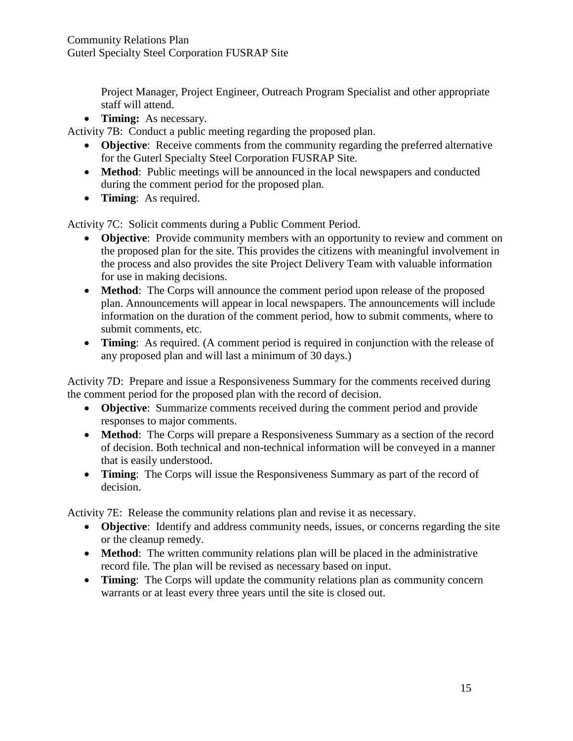Project Manager, Project Engineer, Outreach Program Specialist and other appropriate staff will attend.

• **Timing:** As necessary.

Activity 7B: Conduct a public meeting regarding the proposed plan.

- **Objective**: Receive comments from the community regarding the preferred alternative for the Guterl Specialty Steel Corporation FUSRAP Site.
- **Method**: Public meetings will be announced in the local newspapers and conducted during the comment period for the proposed plan.
- **Timing**: As required.

Activity 7C: Solicit comments during a Public Comment Period.

- **Objective**: Provide community members with an opportunity to review and comment on the proposed plan for the site. This provides the citizens with meaningful involvement in the process and also provides the site Project Delivery Team with valuable information for use in making decisions.
- **Method**: The Corps will announce the comment period upon release of the proposed plan. Announcements will appear in local newspapers. The announcements will include information on the duration of the comment period, how to submit comments, where to submit comments, etc.
- **Timing**: As required. (A comment period is required in conjunction with the release of any proposed plan and will last a minimum of 30 days.)

Activity 7D: Prepare and issue a Responsiveness Summary for the comments received during the comment period for the proposed plan with the record of decision.

- **Objective**: Summarize comments received during the comment period and provide responses to major comments.
- **Method**: The Corps will prepare a Responsiveness Summary as a section of the record of decision. Both technical and non-technical information will be conveyed in a manner that is easily understood.
- **Timing**: The Corps will issue the Responsiveness Summary as part of the record of decision.

Activity 7E: Release the community relations plan and revise it as necessary.

- **Objective**: Identify and address community needs, issues, or concerns regarding the site or the cleanup remedy.
- **Method**: The written community relations plan will be placed in the administrative record file. The plan will be revised as necessary based on input.
- **Timing**: The Corps will update the community relations plan as community concern warrants or at least every three years until the site is closed out.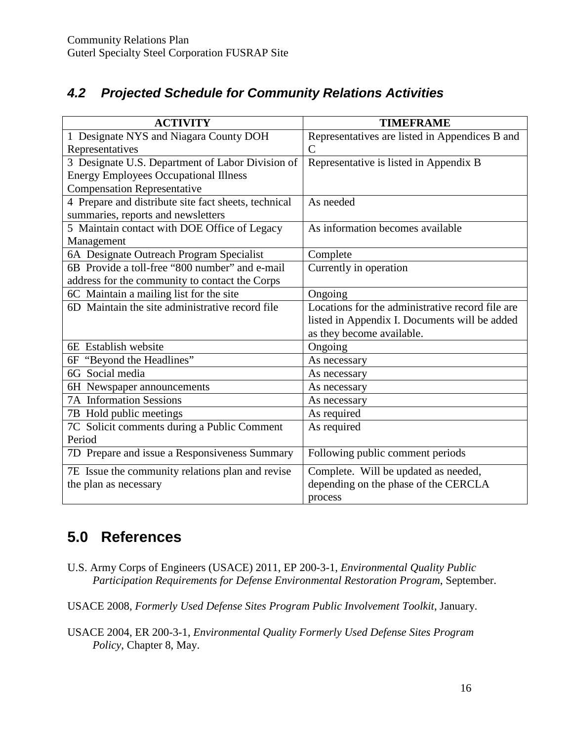### *4.2 Projected Schedule for Community Relations Activities*

| <b>ACTIVITY</b>                                      | <b>TIMEFRAME</b>                                 |
|------------------------------------------------------|--------------------------------------------------|
| 1 Designate NYS and Niagara County DOH               | Representatives are listed in Appendices B and   |
| Representatives                                      | $\overline{C}$                                   |
| 3 Designate U.S. Department of Labor Division of     | Representative is listed in Appendix B           |
| <b>Energy Employees Occupational Illness</b>         |                                                  |
| <b>Compensation Representative</b>                   |                                                  |
| 4 Prepare and distribute site fact sheets, technical | As needed                                        |
| summaries, reports and newsletters                   |                                                  |
| 5 Maintain contact with DOE Office of Legacy         | As information becomes available                 |
| Management                                           |                                                  |
| 6A Designate Outreach Program Specialist             | Complete                                         |
| 6B Provide a toll-free "800 number" and e-mail       | Currently in operation                           |
| address for the community to contact the Corps       |                                                  |
| 6C Maintain a mailing list for the site              | Ongoing                                          |
| 6D Maintain the site administrative record file      | Locations for the administrative record file are |
|                                                      | listed in Appendix I. Documents will be added    |
|                                                      | as they become available.                        |
| 6E Establish website                                 | Ongoing                                          |
| 6F "Beyond the Headlines"                            | As necessary                                     |
| 6G Social media                                      | As necessary                                     |
| 6H Newspaper announcements                           | As necessary                                     |
| 7A Information Sessions                              | As necessary                                     |
| 7B Hold public meetings                              | As required                                      |
| 7C Solicit comments during a Public Comment          | As required                                      |
| Period                                               |                                                  |
| 7D Prepare and issue a Responsiveness Summary        | Following public comment periods                 |
| 7E Issue the community relations plan and revise     | Complete. Will be updated as needed,             |
| the plan as necessary                                | depending on the phase of the CERCLA             |
|                                                      | process                                          |

# **5.0 References**

U.S. Army Corps of Engineers (USACE) 2011, EP 200-3-1, *Environmental Quality Public Participation Requirements for Defense Environmental Restoration Program*, September.

USACE 2008, *Formerly Used Defense Sites Program Public Involvement Toolkit*, January.

USACE 2004, ER 200-3-1, *Environmental Quality Formerly Used Defense Sites Program Policy*, Chapter 8, May.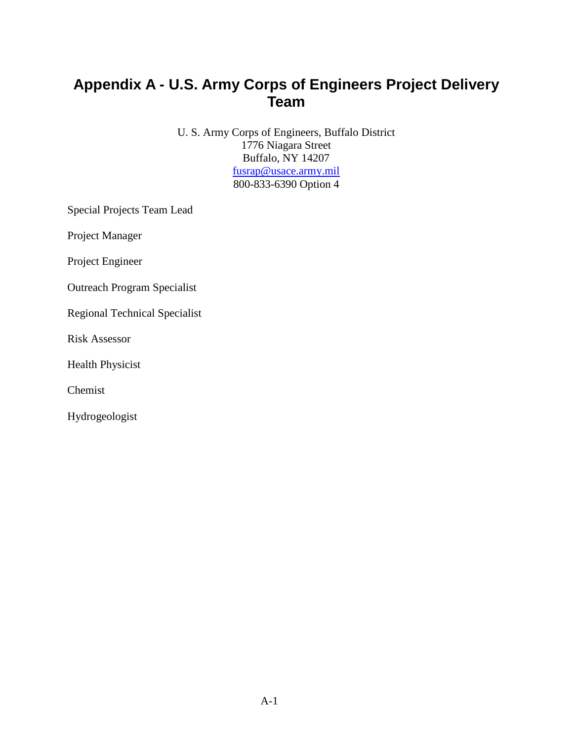# **Appendix A - U.S. Army Corps of Engineers Project Delivery Team**

U. S. Army Corps of Engineers, Buffalo District 1776 Niagara Street Buffalo, NY 14207 [fusrap@usace.army.mil](mailto:fusrap@usace.army.mil) 800-833-6390 Option 4

Special Projects Team Lead

Project Manager

Project Engineer

Outreach Program Specialist

Regional Technical Specialist

Risk Assessor

Health Physicist

Chemist

Hydrogeologist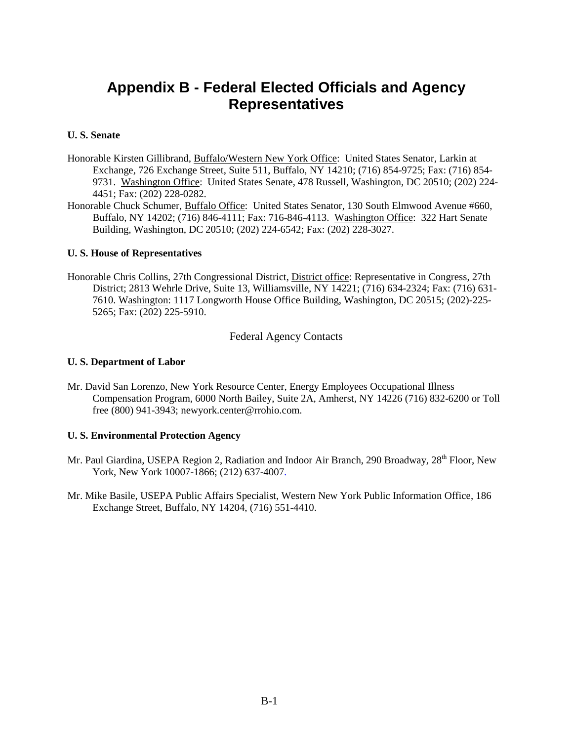# **Appendix B - Federal Elected Officials and Agency Representatives**

#### **U. S. Senate**

- Honorable Kirsten Gillibrand, Buffalo/Western New York Office: United States Senator, Larkin at Exchange, 726 Exchange Street, Suite 511, Buffalo, NY 14210; (716) 854-9725; Fax: (716) 854- 9731. Washington Office: United States Senate, 478 Russell, Washington, DC 20510; (202) 224- 4451; Fax: (202) 228-0282.
- Honorable Chuck Schumer, Buffalo Office: United States Senator, 130 South Elmwood Avenue #660, Buffalo, NY 14202; (716) 846-4111; Fax: 716-846-4113. Washington Office: 322 Hart Senate Building, Washington, DC 20510; (202) 224-6542; Fax: (202) 228-3027.

#### **U. S. House of Representatives**

Honorable Chris Collins, 27th Congressional District, District office: Representative in Congress, 27th District; 2813 Wehrle Drive, Suite 13, Williamsville, NY 14221; (716) 634-2324; Fax: (716) 631- 7610. Washington: 1117 Longworth House Office Building, Washington, DC 20515; (202)-225- 5265; Fax: (202) 225-5910.

#### Federal Agency Contacts

#### **U. S. Department of Labor**

Mr. David San Lorenzo, New York Resource Center, Energy Employees Occupational Illness Compensation Program, 6000 North Bailey, Suite 2A, Amherst, NY 14226 (716) 832-6200 or Toll free (800) 941-3943; newyork.center@rrohio.com.

#### **U. S. Environmental Protection Agency**

- Mr. Paul Giardina, USEPA Region 2, Radiation and Indoor Air Branch, 290 Broadway, 28<sup>th</sup> Floor, New York, New York 10007-1866; (212) 637-4007.
- Mr. Mike Basile, USEPA Public Affairs Specialist, Western New York Public Information Office, 186 Exchange Street, Buffalo, NY 14204, (716) 551-4410.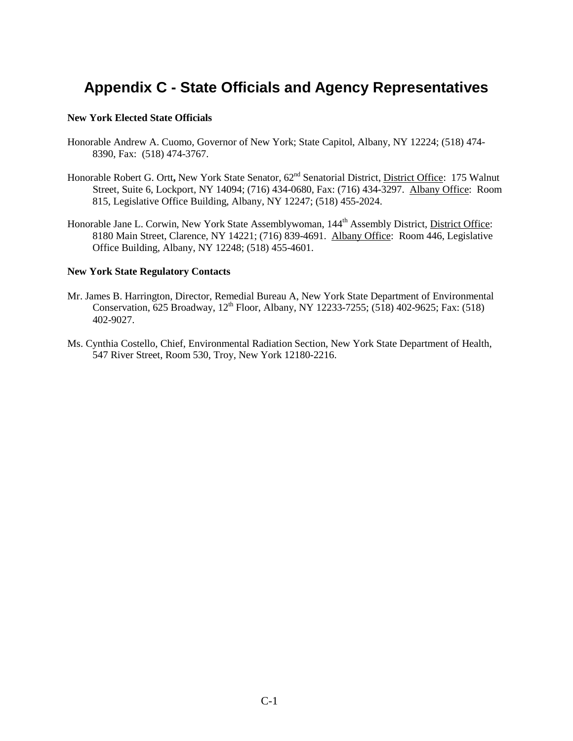# **Appendix C - State Officials and Agency Representatives**

#### **New York Elected State Officials**

- Honorable Andrew A. Cuomo, Governor of New York; State Capitol, Albany, NY 12224; (518) 474- 8390, Fax: (518) 474-3767.
- Honorable Robert G. Ortt**,** New York State Senator, 62nd Senatorial District, District Office: 175 Walnut Street, Suite 6, Lockport, NY 14094; (716) 434-0680, Fax: (716) 434-3297. Albany Office:Room 815, Legislative Office Building, Albany, NY 12247; (518) 455-2024.
- Honorable Jane L. Corwin, New York State Assemblywoman, 144<sup>th</sup> Assembly District, District Office: 8180 Main Street, Clarence, NY 14221; (716) 839-4691. Albany Office: Room 446, Legislative Office Building, Albany, NY 12248; (518) 455-4601.

#### **New York State Regulatory Contacts**

- Mr. James B. Harrington, Director, Remedial Bureau A, New York State Department of Environmental Conservation, 625 Broadway, 12<sup>th</sup> Floor, Albany, NY 12233-7255; (518) 402-9625; Fax: (518) 402-9027.
- Ms. Cynthia Costello, Chief, Environmental Radiation Section, New York State Department of Health, 547 River Street, Room 530, Troy, New York 12180-2216.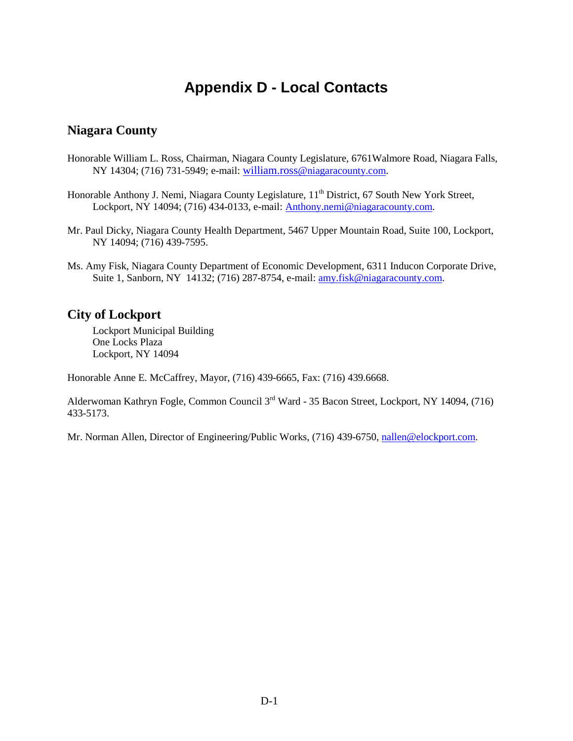# **Appendix D - Local Contacts**

#### **Niagara County**

Honorable William L. Ross, Chairman, Niagara County Legislature, 6761Walmore Road, Niagara Falls, NY 14304; (716) 731-5949; e-mail: [william.ross@niagaracounty.com.](mailto:william.ross@niagaracounty.com)

Honorable Anthony J. Nemi, Niagara County Legislature, 11<sup>th</sup> District, 67 South New York Street, Lockport, NY 14094; (716) 434-0133, e-mail: Anthony.nemi@niagaracounty.com.

- Mr. Paul Dicky, Niagara County Health Department, 5467 Upper Mountain Road, Suite 100, Lockport, NY 14094; (716) 439-7595.
- Ms. Amy Fisk, Niagara County Department of Economic Development, 6311 Inducon Corporate Drive, Suite 1, Sanborn, NY 14132; (716) 287-8754, e-mail: [amy.fisk@niagaracounty.com.](mailto:amy.fisk@niagaracounty.com)

#### **City of Lockport**

Lockport Municipal Building One Locks Plaza Lockport, NY 14094

Honorable Anne E. McCaffrey, Mayor, (716) 439-6665, Fax: (716) 439.6668.

Alderwoman Kathryn Fogle, Common Council 3rd Ward - 35 Bacon Street, Lockport, NY 14094, (716) 433-5173.

Mr. Norman Allen, Director of Engineering/Public Works, (716) 439-6750[, nallen@elockport.com.](mailto:nallen@elockport.com)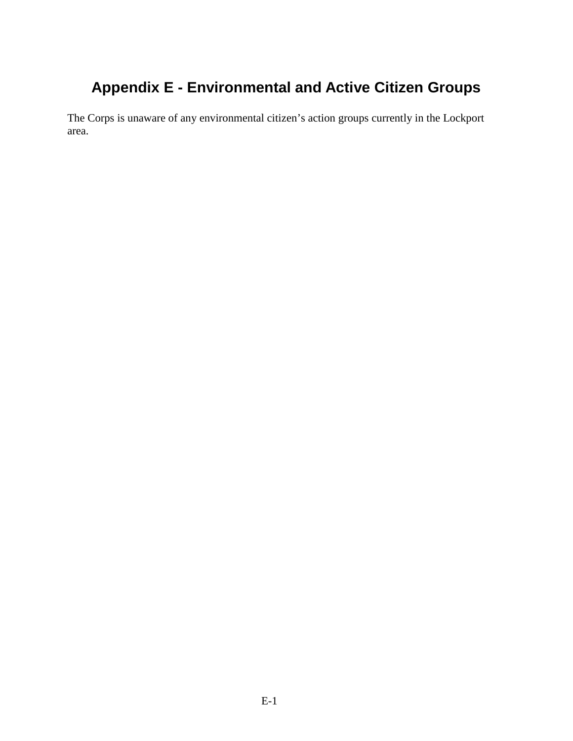# **Appendix E - Environmental and Active Citizen Groups**

The Corps is unaware of any environmental citizen's action groups currently in the Lockport area.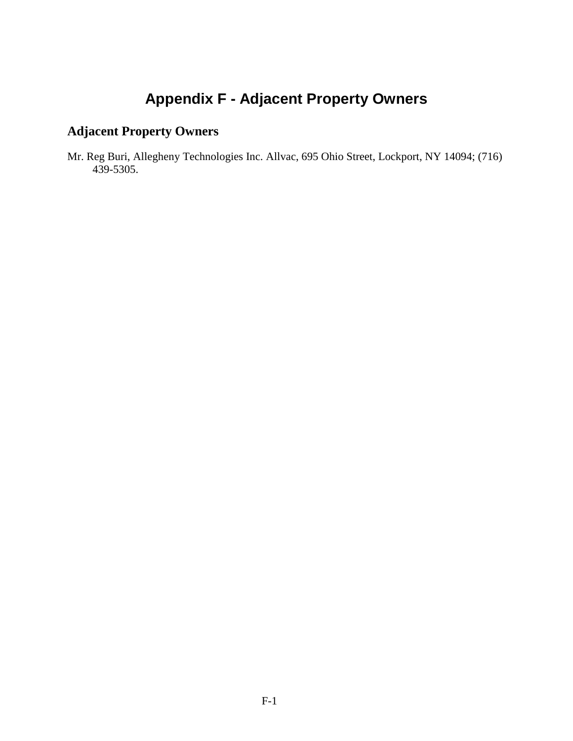# **Appendix F - Adjacent Property Owners**

# **Adjacent Property Owners**

Mr. Reg Buri, Allegheny Technologies Inc. Allvac, 695 Ohio Street, Lockport, NY 14094; (716) 439-5305.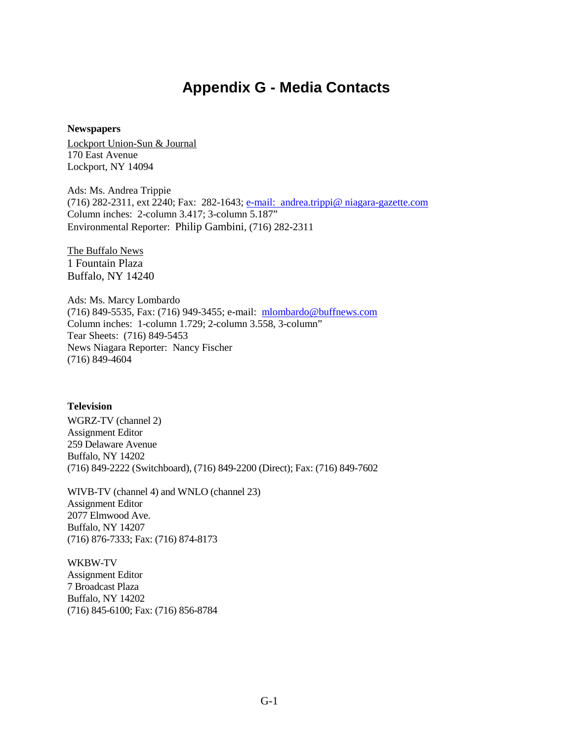## **Appendix G - Media Contacts**

#### **Newspapers**

Lockport Union-Sun & Journal 170 East Avenue Lockport, NY 14094

Ads: Ms. Andrea Trippie (716) 282-2311, ext 2240; Fax: 282-1643; [e-mail: andrea.trippi@ niagara-gazette.com](mailto:e-mail:%20%20andrea.trippi@%20niagara-gazette.com) Column inches: 2-column 3.417; 3-column 5.187" Environmental Reporter: Philip Gambini, (716) 282-2311

The Buffalo News 1 Fountain Plaza Buffalo, NY 14240

Ads: Ms. Marcy Lombardo (716) 849-5535, Fax: (716) 949-3455; e-mail: [mlombardo@buffnews.com](mailto:mlombardo@buffnews.com) Column inches: 1-column 1.729; 2-column 3.558, 3-column" Tear Sheets: (716) 849-5453 News Niagara Reporter: Nancy Fischer (716) 849-4604

#### **Television**

WGRZ-TV (channel 2) Assignment Editor 259 Delaware Avenue Buffalo, NY 14202 (716) 849-2222 (Switchboard), (716) 849-2200 (Direct); Fax: (716) 849-7602

WIVB-TV (channel 4) and WNLO (channel 23) Assignment Editor 2077 Elmwood Ave. Buffalo, NY 14207 (716) 876-7333; Fax: (716) 874-8173

WKBW-TV Assignment Editor 7 Broadcast Plaza Buffalo, NY 14202 (716) 845-6100; Fax: (716) 856-8784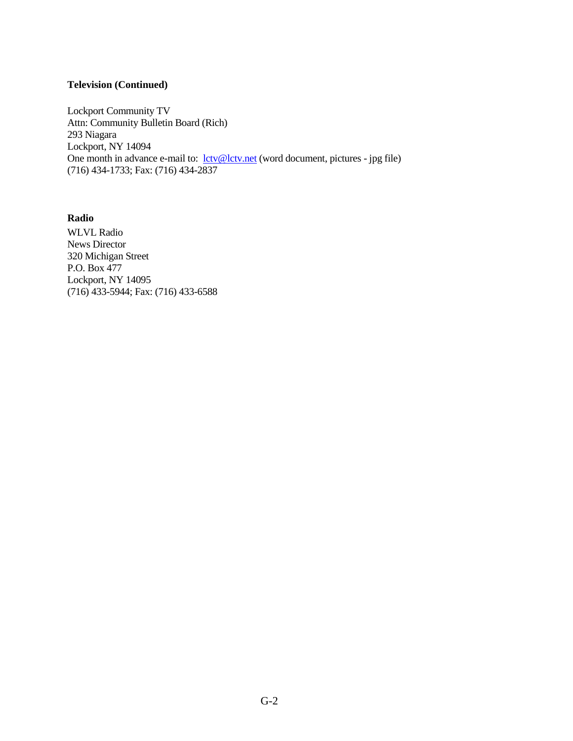#### **Television (Continued)**

Lockport Community TV Attn: Community Bulletin Board (Rich) 293 Niagara Lockport, NY 14094 One month in advance e-mail to: <u>[lctv@lctv.net](mailto:lctv@lctv.net)</u> (word document, pictures - jpg file) (716) 434-1733; Fax: (716) 434-2837

**Radio**  WLVL Radio News Director 320 Michigan Street P.O. Box 477 Lockport, NY 14095 (716) 433-5944; Fax: (716) 433-6588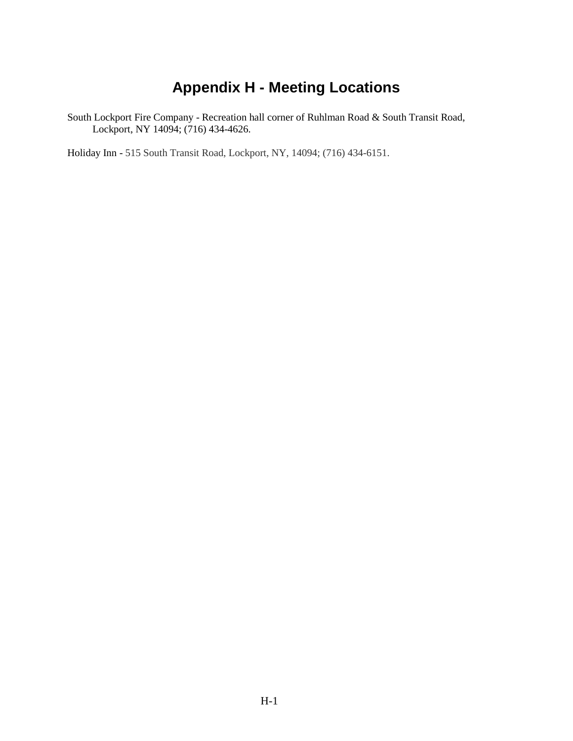# **Appendix H - Meeting Locations**

South Lockport Fire Company - Recreation hall corner of Ruhlman Road & South Transit Road, Lockport, NY 14094; (716) 434-4626.

Holiday Inn - [515 South Transit Road, Lockport, NY, 14094; \(716\) 434-6151.](http://www.ichotelsgroup.com/h/d/hi/1/en/hotel/llkpt/transportation)